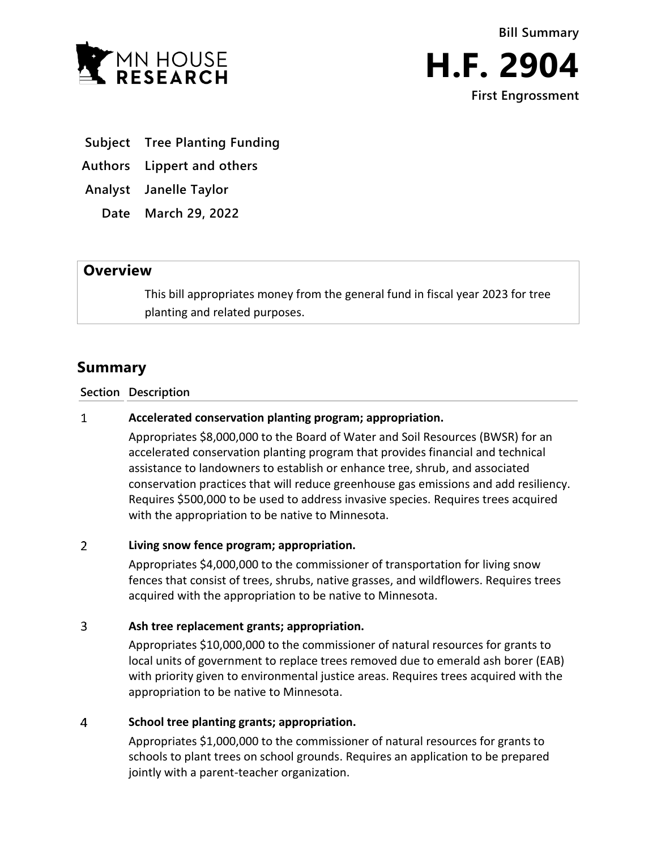



- **Subject Tree Planting Funding**
- **Authors Lippert and others**

**Analyst Janelle Taylor**

**Date March 29, 2022**

## **Overview**

This bill appropriates money from the general fund in fiscal year 2023 for tree planting and related purposes.

# **Summary**

### **Section Description**

#### $\mathbf{1}$ **Accelerated conservation planting program; appropriation.**

Appropriates \$8,000,000 to the Board of Water and Soil Resources (BWSR) for an accelerated conservation planting program that provides financial and technical assistance to landowners to establish or enhance tree, shrub, and associated conservation practices that will reduce greenhouse gas emissions and add resiliency. Requires \$500,000 to be used to address invasive species. Requires trees acquired with the appropriation to be native to Minnesota.

#### $\overline{2}$ **Living snow fence program; appropriation.**

Appropriates \$4,000,000 to the commissioner of transportation for living snow fences that consist of trees, shrubs, native grasses, and wildflowers. Requires trees acquired with the appropriation to be native to Minnesota.

#### $\overline{3}$ **Ash tree replacement grants; appropriation.**

Appropriates \$10,000,000 to the commissioner of natural resources for grants to local units of government to replace trees removed due to emerald ash borer (EAB) with priority given to environmental justice areas. Requires trees acquired with the appropriation to be native to Minnesota.

#### $\overline{4}$ **School tree planting grants; appropriation.**

Appropriates \$1,000,000 to the commissioner of natural resources for grants to schools to plant trees on school grounds. Requires an application to be prepared jointly with a parent-teacher organization.